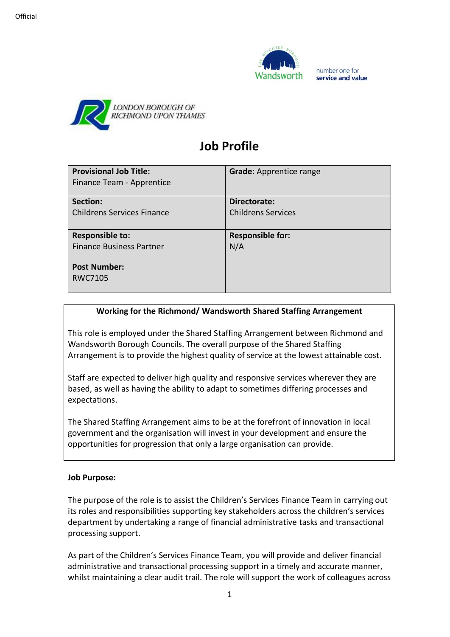



# **Job Profile**

| <b>Provisional Job Title:</b><br>Finance Team - Apprentice | <b>Grade: Apprentice range</b> |
|------------------------------------------------------------|--------------------------------|
| Section:                                                   | Directorate:                   |
| Childrens Services Finance                                 | <b>Childrens Services</b>      |
| <b>Responsible to:</b>                                     | <b>Responsible for:</b>        |
| <b>Finance Business Partner</b>                            | N/A                            |
| <b>Post Number:</b>                                        |                                |
| <b>RWC7105</b>                                             |                                |

# **Working for the Richmond/ Wandsworth Shared Staffing Arrangement**

This role is employed under the Shared Staffing Arrangement between Richmond and Wandsworth Borough Councils. The overall purpose of the Shared Staffing Arrangement is to provide the highest quality of service at the lowest attainable cost.

Staff are expected to deliver high quality and responsive services wherever they are based, as well as having the ability to adapt to sometimes differing processes and expectations.

The Shared Staffing Arrangement aims to be at the forefront of innovation in local government and the organisation will invest in your development and ensure the opportunities for progression that only a large organisation can provide.

## **Job Purpose:**

The purpose of the role is to assist the Children's Services Finance Team in carrying out its roles and responsibilities supporting key stakeholders across the children's services department by undertaking a range of financial administrative tasks and transactional processing support.

As part of the Children's Services Finance Team, you will provide and deliver financial administrative and transactional processing support in a timely and accurate manner, whilst maintaining a clear audit trail. The role will support the work of colleagues across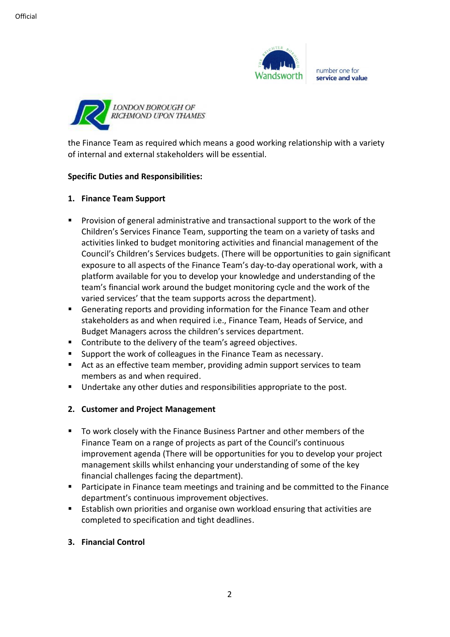



the Finance Team as required which means a good working relationship with a variety of internal and external stakeholders will be essential.

#### **Specific Duties and Responsibilities:**

## **1. Finance Team Support**

- Provision of general administrative and transactional support to the work of the Children's Services Finance Team, supporting the team on a variety of tasks and activities linked to budget monitoring activities and financial management of the Council's Children's Services budgets. (There will be opportunities to gain significant exposure to all aspects of the Finance Team's day-to-day operational work, with a platform available for you to develop your knowledge and understanding of the team's financial work around the budget monitoring cycle and the work of the varied services' that the team supports across the department).
- Generating reports and providing information for the Finance Team and other stakeholders as and when required i.e., Finance Team, Heads of Service, and Budget Managers across the children's services department.
- Contribute to the delivery of the team's agreed objectives.
- Support the work of colleagues in the Finance Team as necessary.
- Act as an effective team member, providing admin support services to team members as and when required.
- Undertake any other duties and responsibilities appropriate to the post.

## **2. Customer and Project Management**

- To work closely with the Finance Business Partner and other members of the Finance Team on a range of projects as part of the Council's continuous improvement agenda (There will be opportunities for you to develop your project management skills whilst enhancing your understanding of some of the key financial challenges facing the department).
- Participate in Finance team meetings and training and be committed to the Finance department's continuous improvement objectives.
- Establish own priorities and organise own workload ensuring that activities are completed to specification and tight deadlines.
- **3. Financial Control**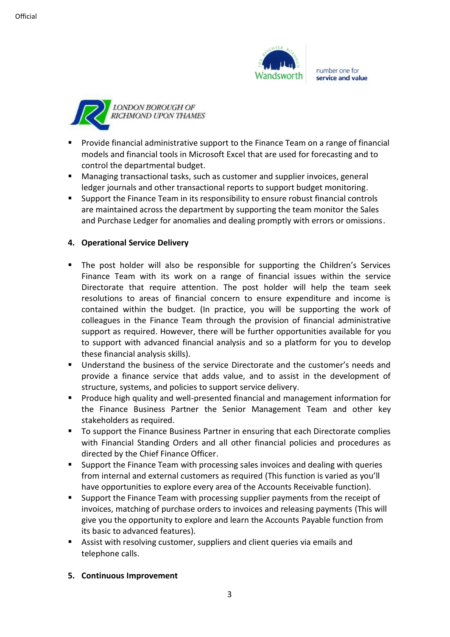



- Provide financial administrative support to the Finance Team on a range of financial models and financial tools in Microsoft Excel that are used for forecasting and to control the departmental budget.
- Managing transactional tasks, such as customer and supplier invoices, general ledger journals and other transactional reports to support budget monitoring.
- Support the Finance Team in its responsibility to ensure robust financial controls are maintained across the department by supporting the team monitor the Sales and Purchase Ledger for anomalies and dealing promptly with errors or omissions.

## **4. Operational Service Delivery**

- The post holder will also be responsible for supporting the Children's Services Finance Team with its work on a range of financial issues within the service Directorate that require attention. The post holder will help the team seek resolutions to areas of financial concern to ensure expenditure and income is contained within the budget. (In practice, you will be supporting the work of colleagues in the Finance Team through the provision of financial administrative support as required. However, there will be further opportunities available for you to support with advanced financial analysis and so a platform for you to develop these financial analysis skills).
- Understand the business of the service Directorate and the customer's needs and provide a finance service that adds value, and to assist in the development of structure, systems, and policies to support service delivery.
- Produce high quality and well-presented financial and management information for the Finance Business Partner the Senior Management Team and other key stakeholders as required.
- To support the Finance Business Partner in ensuring that each Directorate complies with Financial Standing Orders and all other financial policies and procedures as directed by the Chief Finance Officer.
- Support the Finance Team with processing sales invoices and dealing with queries from internal and external customers as required (This function is varied as you'll have opportunities to explore every area of the Accounts Receivable function).
- Support the Finance Team with processing supplier payments from the receipt of invoices, matching of purchase orders to invoices and releasing payments (This will give you the opportunity to explore and learn the Accounts Payable function from its basic to advanced features).
- Assist with resolving customer, suppliers and client queries via emails and telephone calls.
- **5. Continuous Improvement**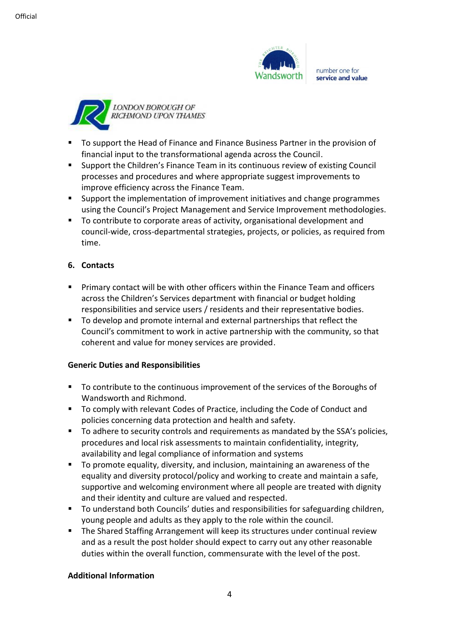



- To support the Head of Finance and Finance Business Partner in the provision of financial input to the transformational agenda across the Council.
- Support the Children's Finance Team in its continuous review of existing Council processes and procedures and where appropriate suggest improvements to improve efficiency across the Finance Team.
- Support the implementation of improvement initiatives and change programmes using the Council's Project Management and Service Improvement methodologies.
- To contribute to corporate areas of activity, organisational development and council-wide, cross-departmental strategies, projects, or policies, as required from time.

## **6. Contacts**

- Primary contact will be with other officers within the Finance Team and officers across the Children's Services department with financial or budget holding responsibilities and service users / residents and their representative bodies.
- To develop and promote internal and external partnerships that reflect the Council's commitment to work in active partnership with the community, so that coherent and value for money services are provided.

## **Generic Duties and Responsibilities**

- To contribute to the continuous improvement of the services of the Boroughs of Wandsworth and Richmond.
- To comply with relevant Codes of Practice, including the Code of Conduct and policies concerning data protection and health and safety.
- To adhere to security controls and requirements as mandated by the SSA's policies, procedures and local risk assessments to maintain confidentiality, integrity, availability and legal compliance of information and systems
- To promote equality, diversity, and inclusion, maintaining an awareness of the equality and diversity protocol/policy and working to create and maintain a safe, supportive and welcoming environment where all people are treated with dignity and their identity and culture are valued and respected.
- To understand both Councils' duties and responsibilities for safeguarding children, young people and adults as they apply to the role within the council.
- The Shared Staffing Arrangement will keep its structures under continual review and as a result the post holder should expect to carry out any other reasonable duties within the overall function, commensurate with the level of the post.

## **Additional Information**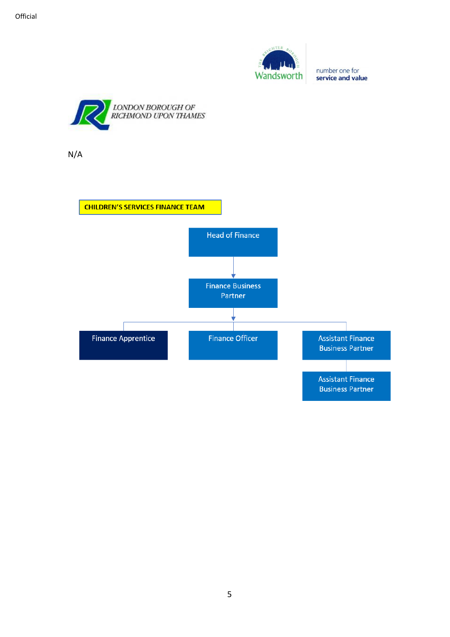



N/A

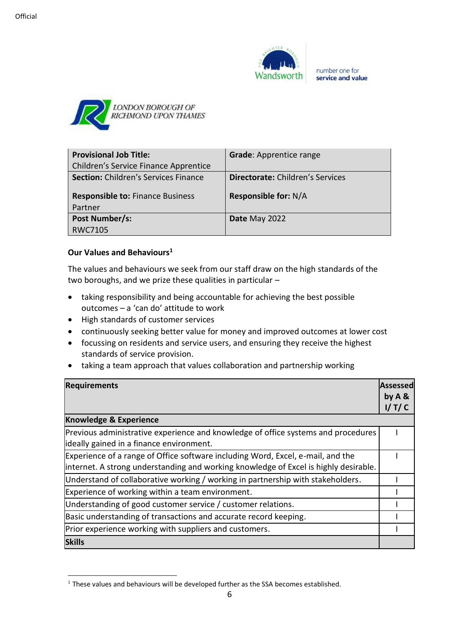



| <b>Provisional Job Title:</b>               | <b>Grade: Apprentice range</b>          |
|---------------------------------------------|-----------------------------------------|
| Children's Service Finance Apprentice       |                                         |
| <b>Section: Children's Services Finance</b> | <b>Directorate:</b> Children's Services |
| <b>Responsible to: Finance Business</b>     | <b>Responsible for: N/A</b>             |
| Partner                                     |                                         |
| Post Number/s:                              | Date May 2022                           |
| RWC7105                                     |                                         |

## **Our Values and Behaviours<sup>1</sup>**

The values and behaviours we seek from our staff draw on the high standards of the two boroughs, and we prize these qualities in particular –

- taking responsibility and being accountable for achieving the best possible outcomes – a 'can do' attitude to work
- High standards of customer services
- continuously seeking better value for money and improved outcomes at lower cost
- focussing on residents and service users, and ensuring they receive the highest standards of service provision.
- taking a team approach that values collaboration and partnership working

| <b>Requirements</b>                                                                                                                                                      | Assessed<br>by $A &$ |  |
|--------------------------------------------------------------------------------------------------------------------------------------------------------------------------|----------------------|--|
|                                                                                                                                                                          | I/T/C                |  |
| <b>Knowledge &amp; Experience</b>                                                                                                                                        |                      |  |
| Previous administrative experience and knowledge of office systems and procedures<br>lideally gained in a finance environment.                                           |                      |  |
| Experience of a range of Office software including Word, Excel, e-mail, and the<br>linternet. A strong understanding and working knowledge of Excel is highly desirable. |                      |  |
| Understand of collaborative working / working in partnership with stakeholders.                                                                                          |                      |  |
| Experience of working within a team environment.                                                                                                                         |                      |  |
| Understanding of good customer service / customer relations.                                                                                                             |                      |  |
| Basic understanding of transactions and accurate record keeping.                                                                                                         |                      |  |
| Prior experience working with suppliers and customers.                                                                                                                   |                      |  |
| <b>Skills</b>                                                                                                                                                            |                      |  |

 $1$  These values and behaviours will be developed further as the SSA becomes established.